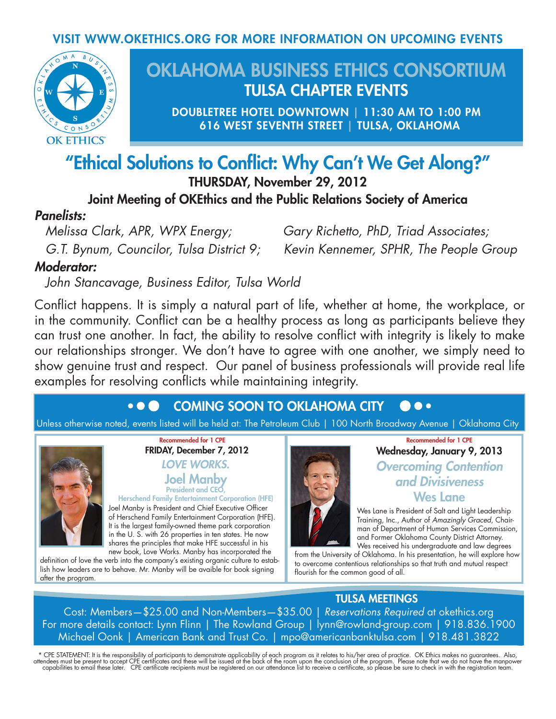#### VISIT WWW.OKETHICS.ORG FOR MORE INFORMATION ON UPCOMING EVENTS



## OKLAHOMA BUSINESS ETHICS CONSORTIUM TULSA CHAPTER EVENTS

DOUBLETREE HOTEL DOWNTOWN | 11:30 AM TO 1:00 PM 616 WEST SEVENTH STREET | TULSA, OKLAHOMA

# "Ethical Solutions to Conflict: Why Can't We Get Along?"

THURSDAY, November 29, 2012

Joint Meeting of OKEthics and the Public Relations Society of America

#### *Panelists:*

*Melissa Clark, APR, WPX Energy; Gary Richetto, PhD, Triad Associates; G.T. Bynum, Councilor, Tulsa District 9; Kevin Kennemer, SPHR, The People Group*

### *Moderator:*

*John Stancavage, Business Editor, Tulsa World*

Conflict happens. It is simply a natural part of life, whether at home, the workplace, or in the community. Conflict can be a healthy process as long as participants believe they can trust one another. In fact, the ability to resolve conflict with integrity is likely to make our relationships stronger. We don't have to agree with one another, we simply need to show genuine trust and respect. Our panel of business professionals will provide real life examples for resolving conflicts while maintaining integrity.

#### $\bullet$   $\bullet$   $\bullet$ COMING SOON TO OKLAHOMA CITY  $\bullet\bullet$

Unless otherwise noted, events listed will be held at: The Petroleum Club | 100 North Broadway Avenue | Oklahoma City



Recommended for 1 CPE FRIDAY, December 7, 2012 *LOVE WORKS.* Joel Manby President and CEO,

Herschend Family Entertainment Corporation (HFE) Joel Manby is President and Chief Executive Officer of Herschend Family Entertainment Corporation (HFE). It is the largest family-owned theme park corporation in the U. S. with 26 properties in ten states. He now shares the principles that make HFE successful in his new book, Love Works. Manby has incorporated the

definition of love the verb into the company's existing organic culture to establish how leaders are to behave. Mr. Manby will be avaible for book signing after the program.



#### Recommended for 1 CPE Wednesday, January 9, 2013 *Overcoming Contention and Divisiveness*  Wes Lane

Wes Lane is President of Salt and Light Leadership Training, Inc., Author of *Amazingly Graced*, Chairman of Department of Human Services Commission, and Former Oklahoma County District Attorney. Wes received his undergraduate and law degrees

from the University of Oklahoma. In his presentation, he will explore how to overcome contentious relationships so that truth and mutual respect flourish for the common good of all.

### TULSA MEETINGS

Cost: Members—\$25.00 and Non-Members—\$35.00 | *Reservations Required* at okethics.org For more details contact: Lynn Flinn | The Rowland Group | lynn@rowland-group.com | 918.836.1900 Michael Oonk | American Bank and Trust Co. | mpo@americanbanktulsa.com | 918.481.3822

\* CPE STATEMENT: It is the responsibility of participants to demonstrate applicability of each program as it relates to his/her area of practice. OK Ethics makes no guarantees. Also,<br>attendees must be present to accept CPE